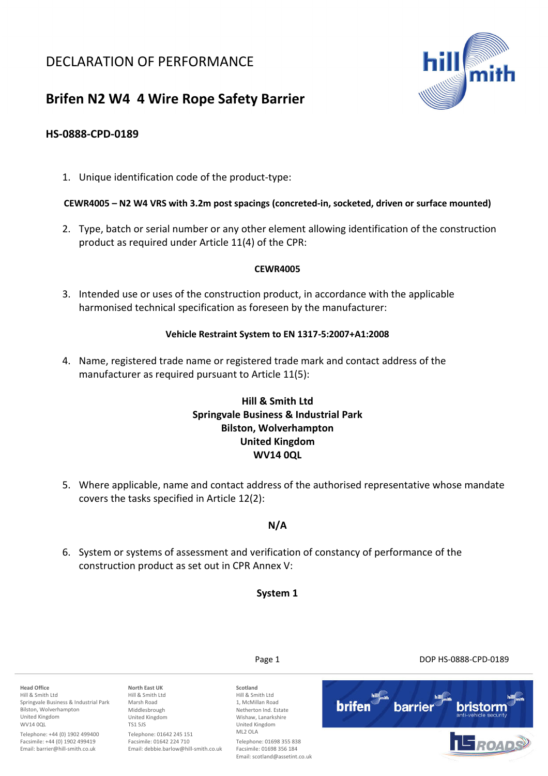# DECLARATION OF PERFORMANCE



# **Brifen N2 W4 4 Wire Rope Safety Barrier**

### **HS-0888-CPD-0189**

1. Unique identification code of the product-type:

#### **CEWR4005 – N2 W4 VRS with 3.2m post spacings (concreted-in, socketed, driven or surface mounted)**

2. Type, batch or serial number or any other element allowing identification of the construction product as required under Article 11(4) of the CPR:

#### **CEWR4005**

3. Intended use or uses of the construction product, in accordance with the applicable harmonised technical specification as foreseen by the manufacturer:

#### **Vehicle Restraint System to EN 1317-5:2007+A1:2008**

4. Name, registered trade name or registered trade mark and contact address of the manufacturer as required pursuant to Article 11(5):

## **Hill & Smith Ltd Springvale Business & Industrial Park Bilston, Wolverhampton United Kingdom WV14 0QL**

5. Where applicable, name and contact address of the authorised representative whose mandate covers the tasks specified in Article 12(2):

### **N/A**

6. System or systems of assessment and verification of constancy of performance of the construction product as set out in CPR Annex V:

**System 1** 

**Head Office**  Hill & Smith Ltd Springvale Business & Industrial Park Bilston, Wolverhampton United Kingdom WV14 0QL

Telephone: +44 (0) 1902 499400 Facsimile: +44 (0) 1902 499419 Email: barrier@hill-smith.co.uk

**North East UK**  Hill & Smith Ltd Marsh Road Middlesbrough United Kingdom TS1 5JS Telephone: 01642 245 151 Facsimile: 01642 224 710

Email: debbie.barlow@hill-smith.co.uk

**Scotland**  Hill & Smith Ltd 1, McMillan Road Netherton Ind. Estate Wishaw, Lanarkshire United Kingdom ML2 OLA Telephone: 01698 355 838 Facsimile: 01698 356 184 Email: scotland@assetint.co.uk

Page 1 DOP HS-0888-CPD-0189